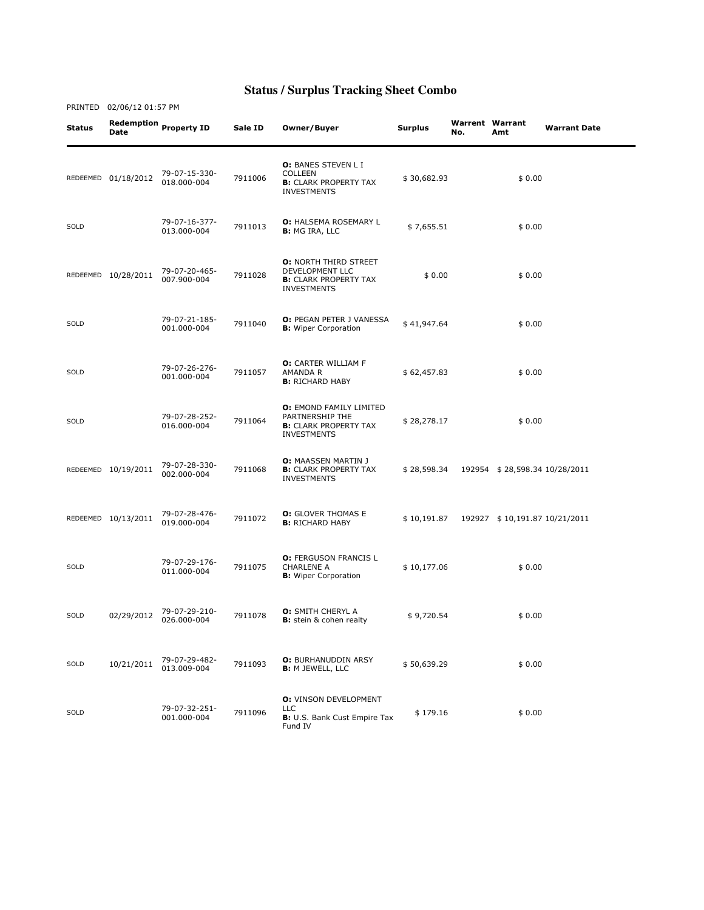## **Status / Surplus Tracking Sheet Combo**

PRINTED 02/06/12 01:57 PM

Status Redemption Date Property ID Sale ID Owner/Buyer Surplus Warrent No. Warrent Warrant<br>No. Amt **Warrant Date** REDEEMED 01/18/2012 79-07-15-330- 018.000-004 <sup>7911006</sup> O: BANES STEVEN L I COLLEEN **B:** CLARK PROPERTY TAX INVESTMENTS \$ 30,682.93 \$ 0.00 SOLD 79-07-16-377- 7911013 O: HALSEMA ROSEMARY L **O:** HALSEMA ROSEMARY L  $$7,655.51$   $$9.00$ REDEEMED 10/28/2011 79-07-20-465-007.900-004 <sup>7911028</sup> O: NORTH THIRD STREET DEVELOPMENT LLC **B:** CLARK PROPERTY TAX INVESTMENTS  $$0.00$   $$0.00$ SOLD 79-07-21-185- 001.000-004 <sup>7911040</sup> O: PEGAN PETER J VANESSA B: Wiper Corporation \$ 41,947.64 \$ 0.00 SOLD 79-07-26-276- 79-07-26-276-<br>001.000-004 7911057 O: CARTER WILLIAM F AMANDA R **B:** RICHARD HABY \$ 62,457.83 \$ 0.00 SOLD 79-07-28-252- 016.000-004 <sup>7911064</sup> O: EMOND FAMILY LIMITED PARTNERSHIP THE **B:** CLARK PROPERTY TAX INVESTMENTS  $$28,278.17$   $$0.00$ REDEEMED 10/19/2011 79-07-28-330-002.000-004 <sup>7911068</sup> O: MAASSEN MARTIN J **B: CLARK PROPERTY TAX** INVESTMENTS \$ 28,598.34 192954 \$ 28,598.34 10/28/2011 REDEEMED 10/13/2011 79-07-28-476- **0:** GLOVER THOMAS E<br>**B:** RICHARD HABY B: RICHARD HABY \$ 10,191.87 192927 \$ 10,191.87 10/21/2011 SOLD 79-07-29-176- 79-07-29-176-<br>011.000-004 7911075 O: FERGUSON FRANCIS L CHARLENE A **B:** Wiper Corporation  $$10,177.06$   $$0.00$ SOLD 02/29/2012 79-07-29-210- 026.000-004 <sup>7911078</sup> O: SMITH CHERYL A B: stein & cohen realty \$ 9,720.54 \$ 0.00 SOLD 10/21/2011 79-07-29-482- 013.009-004 <sup>7911093</sup> O: BURHANUDDIN ARSY B: M JEWELL, LLC \$ 50,639.29 \$ 0.00 SOLD 79-07-32-251- 79-07-32-251-<br>001.000-004 7911096 O: VINSON DEVELOPMENT LLC B: U.S. Bank Cust Empire Tax Fund IV  $$179.16$   $$0.00$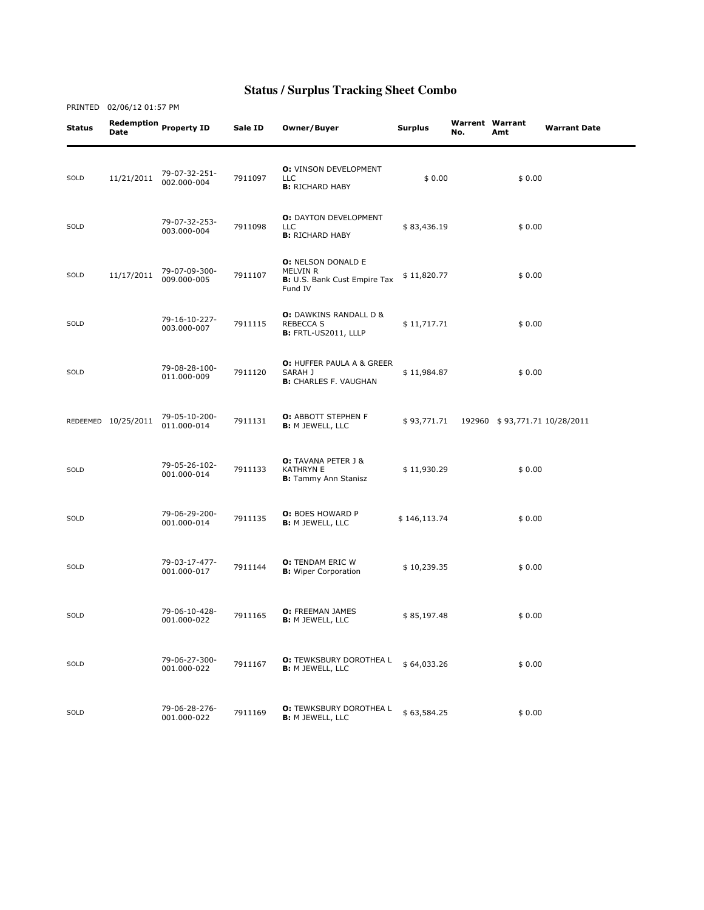## **Status / Surplus Tracking Sheet Combo**

PRINTED 02/06/12 01:57 PM

| Status | <b>Date</b>         | Redemption Property ID       | Sale ID | Owner/Buyer                                                                      | <b>Surplus</b> | <b>Warrent Warrant</b><br>No. | Amt                           | <b>Warrant Date</b> |
|--------|---------------------|------------------------------|---------|----------------------------------------------------------------------------------|----------------|-------------------------------|-------------------------------|---------------------|
| SOLD   | 11/21/2011          | 79-07-32-251-<br>002.000-004 | 7911097 | <b>O:</b> VINSON DEVELOPMENT<br><b>LLC</b><br><b>B:</b> RICHARD HABY             | \$0.00         |                               | \$0.00                        |                     |
| SOLD   |                     | 79-07-32-253-<br>003.000-004 | 7911098 | <b>O: DAYTON DEVELOPMENT</b><br><b>LLC</b><br><b>B:</b> RICHARD HABY             | \$83,436.19    |                               | \$0.00                        |                     |
| SOLD   | 11/17/2011          | 79-07-09-300-<br>009.000-005 | 7911107 | <b>O: NELSON DONALD E</b><br>MELVIN R<br>B: U.S. Bank Cust Empire Tax<br>Fund IV | \$11,820.77    |                               | \$0.00                        |                     |
| SOLD   |                     | 79-16-10-227-<br>003.000-007 | 7911115 | <b>O:</b> DAWKINS RANDALL D &<br><b>REBECCA S</b><br><b>B:</b> FRTL-US2011, LLLP | \$11,717.71    |                               | \$0.00                        |                     |
| SOLD   |                     | 79-08-28-100-<br>011.000-009 | 7911120 | <b>O: HUFFER PAULA A &amp; GREER</b><br>SARAH J<br><b>B:</b> CHARLES F. VAUGHAN  | \$11,984.87    |                               | \$0.00                        |                     |
|        | REDEEMED 10/25/2011 | 79-05-10-200-<br>011.000-014 | 7911131 | <b>O:</b> ABBOTT STEPHEN F<br><b>B:</b> M JEWELL, LLC                            | \$93,771.71    |                               | 192960 \$93,771.71 10/28/2011 |                     |
| SOLD   |                     | 79-05-26-102-<br>001.000-014 | 7911133 | <b>O:</b> TAVANA PETER J &<br><b>KATHRYN E</b><br><b>B:</b> Tammy Ann Stanisz    | \$11,930.29    |                               | \$0.00                        |                     |
| SOLD   |                     | 79-06-29-200-<br>001.000-014 | 7911135 | <b>O:</b> BOES HOWARD P<br><b>B:</b> M JEWELL, LLC                               | \$146,113.74   |                               | \$0.00                        |                     |
| SOLD   |                     | 79-03-17-477-<br>001.000-017 | 7911144 | <b>O:</b> TENDAM ERIC W<br><b>B:</b> Wiper Corporation                           | \$10,239.35    |                               | \$0.00                        |                     |
| SOLD   |                     | 79-06-10-428-<br>001.000-022 | 7911165 | <b>O:</b> FREEMAN JAMES<br><b>B:</b> M JEWELL, LLC                               | \$85,197.48    |                               | \$0.00                        |                     |
| SOLD   |                     | 79-06-27-300-<br>001.000-022 | 7911167 | <b>O:</b> TEWKSBURY DOROTHEA L<br><b>B:</b> M JEWELL, LLC                        | \$64,033.26    |                               | \$0.00                        |                     |
| SOLD   |                     | 79-06-28-276-<br>001.000-022 | 7911169 | <b>O:</b> TEWKSBURY DOROTHEA L<br><b>B:</b> M JEWELL, LLC                        | \$63,584.25    |                               | \$0.00                        |                     |